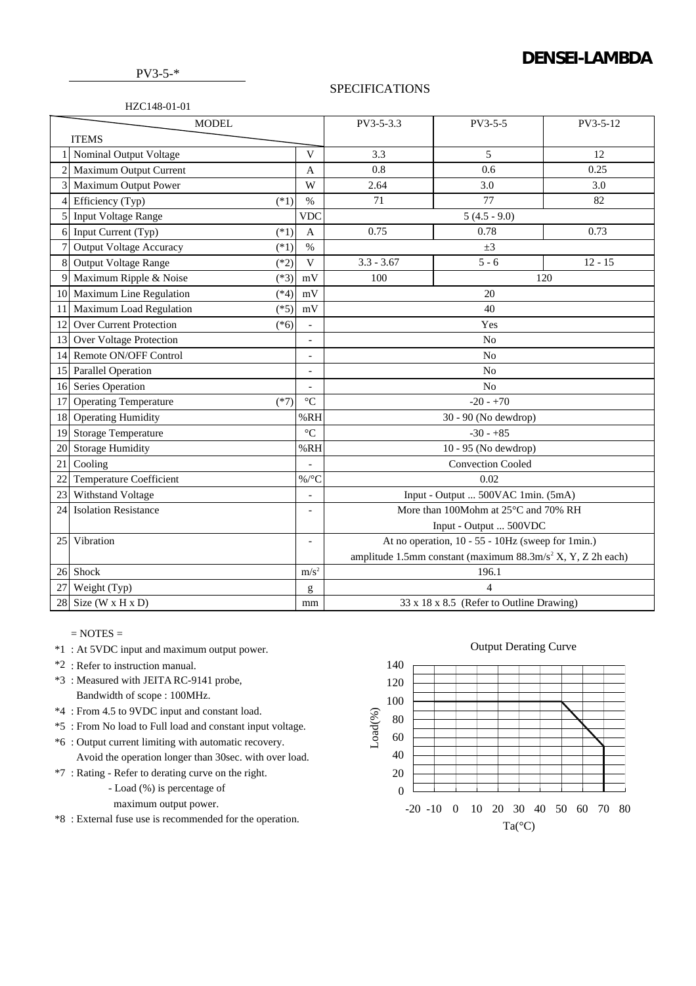# **DENSEI-LAMBDA**

PV3-5-\*

### **SPECIFICATIONS**

## HZC148-01-01

| <b>MODEL</b>   |                                          |                          | PV3-5-3.3                                                              | PV3-5-5                                  | PV3-5-12  |  |
|----------------|------------------------------------------|--------------------------|------------------------------------------------------------------------|------------------------------------------|-----------|--|
| <b>ITEMS</b>   |                                          |                          |                                                                        |                                          |           |  |
|                | Nominal Output Voltage                   | V                        | 3.3                                                                    | 5                                        | 12        |  |
|                | Maximum Output Current                   | A                        | 0.8                                                                    | 0.6                                      | 0.25      |  |
| $\overline{3}$ | <b>Maximum Output Power</b>              | W                        | 2.64                                                                   | 3.0                                      | 3.0       |  |
| 4              | Efficiency (Typ)<br>$(*1)$               | $\%$                     | 71                                                                     | 77                                       | 82        |  |
| 5              | <b>Input Voltage Range</b>               | <b>VDC</b>               |                                                                        | $5(4.5 - 9.0)$                           |           |  |
| 6              | Input Current (Typ)<br>$(*1)$            | $\overline{A}$           | 0.75                                                                   | 0.78                                     | 0.73      |  |
| 7              | <b>Output Voltage Accuracy</b><br>$(*1)$ | $\%$                     | $\pm 3$                                                                |                                          |           |  |
| 8              | <b>Output Voltage Range</b><br>$(*2)$    | $\mathbf V$              | $3.3 - 3.67$                                                           | $5 - 6$                                  | $12 - 15$ |  |
| 9              | Maximum Ripple & Noise<br>$(*3)$         | mV                       | 100<br>120                                                             |                                          |           |  |
| 10             | Maximum Line Regulation<br>$(*4)$        | mV                       | 20                                                                     |                                          |           |  |
| 11             | Maximum Load Regulation<br>$(*5)$        | mV                       | 40                                                                     |                                          |           |  |
| 12             | <b>Over Current Protection</b><br>$(*6)$ | $\overline{a}$           | Yes                                                                    |                                          |           |  |
| 13             | Over Voltage Protection                  | $\overline{\phantom{0}}$ | N <sub>o</sub>                                                         |                                          |           |  |
| 14             | Remote ON/OFF Control                    | $\qquad \qquad -$        | N <sub>o</sub>                                                         |                                          |           |  |
| 15             | Parallel Operation                       | $\overline{a}$           | No                                                                     |                                          |           |  |
| 16             | Series Operation                         | $\overline{\phantom{0}}$ | No                                                                     |                                          |           |  |
| 17             | <b>Operating Temperature</b><br>$(*7)$   | $\rm ^{\circ}C$          | $-20 - +70$                                                            |                                          |           |  |
| 18             | <b>Operating Humidity</b>                | %RH                      | 30 - 90 (No dewdrop)                                                   |                                          |           |  |
| 19             | <b>Storage Temperature</b>               | $\rm ^{\circ}C$          | $-30 - +85$                                                            |                                          |           |  |
| 20             | <b>Storage Humidity</b>                  | %RH                      | 10 - 95 (No dewdrop)                                                   |                                          |           |  |
| 21             | Cooling                                  |                          | <b>Convection Cooled</b>                                               |                                          |           |  |
| 22             | <b>Temperature Coefficient</b>           | %/ $^{\circ}C$           | 0.02                                                                   |                                          |           |  |
| 23             | Withstand Voltage                        |                          | Input - Output  500VAC 1min. (5mA)                                     |                                          |           |  |
| 24             | <b>Isolation Resistance</b>              | $\overline{\phantom{0}}$ | More than 100Mohm at 25°C and 70% RH                                   |                                          |           |  |
|                |                                          |                          | Input - Output  500VDC                                                 |                                          |           |  |
| 25             | Vibration                                | $\overline{\phantom{0}}$ | At no operation, 10 - 55 - 10Hz (sweep for 1min.)                      |                                          |           |  |
|                |                                          |                          | amplitude 1.5mm constant (maximum $88.3 \text{m/s}^2$ X, Y, Z 2h each) |                                          |           |  |
|                | 26 Shock                                 | m/s <sup>2</sup>         | 196.1                                                                  |                                          |           |  |
| 27             | Weight (Typ)                             | g                        | 4                                                                      |                                          |           |  |
|                | 28 Size (W x H x D)<br>mm                |                          |                                                                        | 33 x 18 x 8.5 (Refer to Outline Drawing) |           |  |

# $=$  NOTES  $=$

- \*1 : At 5VDC input and maximum output power.
- \*2 : Refer to instruction manual.
- \*3 : Measured with JEITA RC-9141 probe, Bandwidth of scope : 100MHz.
- \*4 : From 4.5 to 9VDC input and constant load.
- \*5 : From No load to Full load and constant input voltage.
- \*6 : Output current limiting with automatic recovery. Avoid the operation longer than 30sec. with over load.
- \*7 : Rating Refer to derating curve on the right.
	- Load (%) is percentage of
	- maximum output power.
- \*8 : External fuse use is recommended for the operation.

### Output Derating Curve